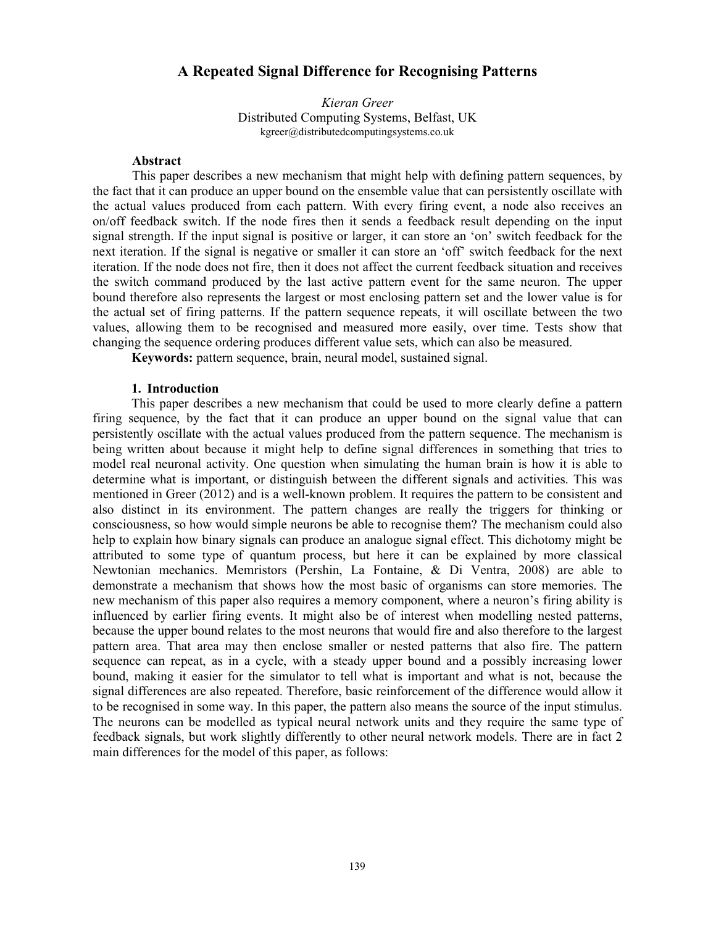# **A Repeated Signal Difference for Recognising Patterns**

*Kieran Greer*  Distributed Computing Systems, Belfast, UK kgreer@distributedcomputingsystems.co.uk

## **Abstract**

This paper describes a new mechanism that might help with defining pattern sequences, by the fact that it can produce an upper bound on the ensemble value that can persistently oscillate with the actual values produced from each pattern. With every firing event, a node also receives an on/off feedback switch. If the node fires then it sends a feedback result depending on the input signal strength. If the input signal is positive or larger, it can store an 'on' switch feedback for the next iteration. If the signal is negative or smaller it can store an 'off' switch feedback for the next iteration. If the node does not fire, then it does not affect the current feedback situation and receives the switch command produced by the last active pattern event for the same neuron. The upper bound therefore also represents the largest or most enclosing pattern set and the lower value is for the actual set of firing patterns. If the pattern sequence repeats, it will oscillate between the two values, allowing them to be recognised and measured more easily, over time. Tests show that changing the sequence ordering produces different value sets, which can also be measured.

**Keywords:** pattern sequence, brain, neural model, sustained signal.

### **1. Introduction**

This paper describes a new mechanism that could be used to more clearly define a pattern firing sequence, by the fact that it can produce an upper bound on the signal value that can persistently oscillate with the actual values produced from the pattern sequence. The mechanism is being written about because it might help to define signal differences in something that tries to model real neuronal activity. One question when simulating the human brain is how it is able to determine what is important, or distinguish between the different signals and activities. This was mentioned in Greer (2012) and is a well-known problem. It requires the pattern to be consistent and also distinct in its environment. The pattern changes are really the triggers for thinking or consciousness, so how would simple neurons be able to recognise them? The mechanism could also help to explain how binary signals can produce an analogue signal effect. This dichotomy might be attributed to some type of quantum process, but here it can be explained by more classical Newtonian mechanics. Memristors (Pershin, La Fontaine, & Di Ventra, 2008) are able to demonstrate a mechanism that shows how the most basic of organisms can store memories. The new mechanism of this paper also requires a memory component, where a neuron's firing ability is influenced by earlier firing events. It might also be of interest when modelling nested patterns, because the upper bound relates to the most neurons that would fire and also therefore to the largest pattern area. That area may then enclose smaller or nested patterns that also fire. The pattern sequence can repeat, as in a cycle, with a steady upper bound and a possibly increasing lower bound, making it easier for the simulator to tell what is important and what is not, because the signal differences are also repeated. Therefore, basic reinforcement of the difference would allow it to be recognised in some way. In this paper, the pattern also means the source of the input stimulus. The neurons can be modelled as typical neural network units and they require the same type of feedback signals, but work slightly differently to other neural network models. There are in fact 2 main differences for the model of this paper, as follows: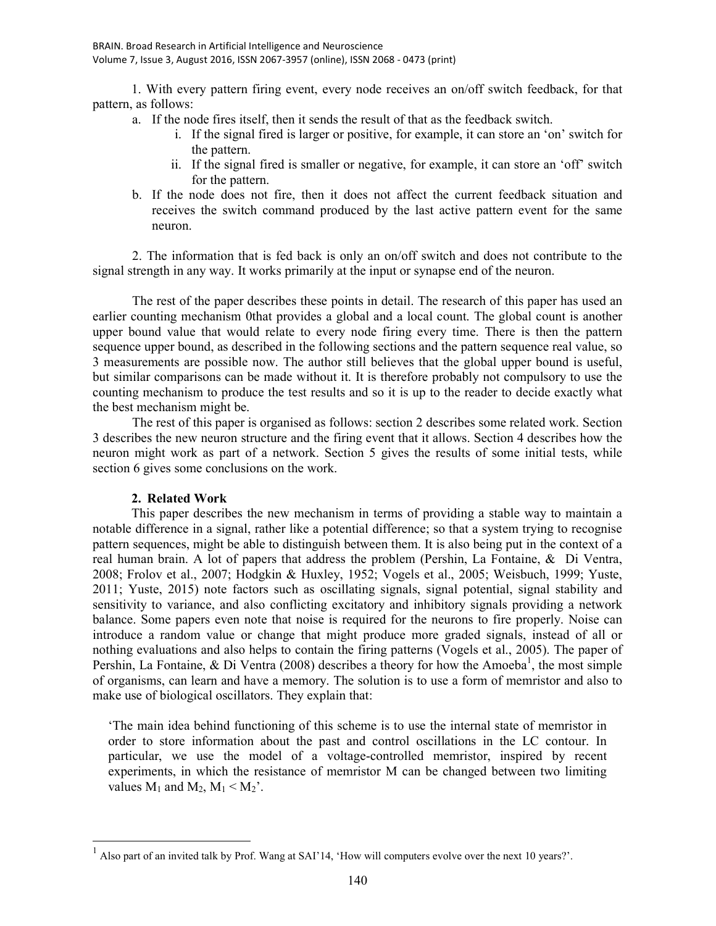1. With every pattern firing event, every node receives an on/off switch feedback, for that pattern, as follows:

- a. If the node fires itself, then it sends the result of that as the feedback switch.
	- i. If the signal fired is larger or positive, for example, it can store an 'on' switch for the pattern.
	- ii. If the signal fired is smaller or negative, for example, it can store an 'off' switch for the pattern.
- b. If the node does not fire, then it does not affect the current feedback situation and receives the switch command produced by the last active pattern event for the same neuron.

2. The information that is fed back is only an on/off switch and does not contribute to the signal strength in any way. It works primarily at the input or synapse end of the neuron.

The rest of the paper describes these points in detail. The research of this paper has used an earlier counting mechanism 0that provides a global and a local count. The global count is another upper bound value that would relate to every node firing every time. There is then the pattern sequence upper bound, as described in the following sections and the pattern sequence real value, so 3 measurements are possible now. The author still believes that the global upper bound is useful, but similar comparisons can be made without it. It is therefore probably not compulsory to use the counting mechanism to produce the test results and so it is up to the reader to decide exactly what the best mechanism might be.

The rest of this paper is organised as follows: section 2 describes some related work. Section 3 describes the new neuron structure and the firing event that it allows. Section 4 describes how the neuron might work as part of a network. Section 5 gives the results of some initial tests, while section 6 gives some conclusions on the work.

# **2. Related Work**

 $\overline{a}$ 

This paper describes the new mechanism in terms of providing a stable way to maintain a notable difference in a signal, rather like a potential difference; so that a system trying to recognise pattern sequences, might be able to distinguish between them. It is also being put in the context of a real human brain. A lot of papers that address the problem (Pershin, La Fontaine, & Di Ventra, 2008; Frolov et al., 2007; Hodgkin & Huxley, 1952; Vogels et al., 2005; Weisbuch, 1999; Yuste, 2011; Yuste, 2015) note factors such as oscillating signals, signal potential, signal stability and sensitivity to variance, and also conflicting excitatory and inhibitory signals providing a network balance. Some papers even note that noise is required for the neurons to fire properly. Noise can introduce a random value or change that might produce more graded signals, instead of all or nothing evaluations and also helps to contain the firing patterns (Vogels et al., 2005). The paper of Pershin, La Fontaine,  $\&$  Di Ventra (2008) describes a theory for how the Amoeba<sup>1</sup>, the most simple of organisms, can learn and have a memory. The solution is to use a form of memristor and also to make use of biological oscillators. They explain that:

'The main idea behind functioning of this scheme is to use the internal state of memristor in order to store information about the past and control oscillations in the LC contour. In particular, we use the model of a voltage-controlled memristor, inspired by recent experiments, in which the resistance of memristor M can be changed between two limiting values  $M_1$  and  $M_2$ ,  $M_1 < M_2$ <sup>'</sup>.

<sup>&</sup>lt;sup>1</sup> Also part of an invited talk by Prof. Wang at SAI'14, 'How will computers evolve over the next 10 years?'.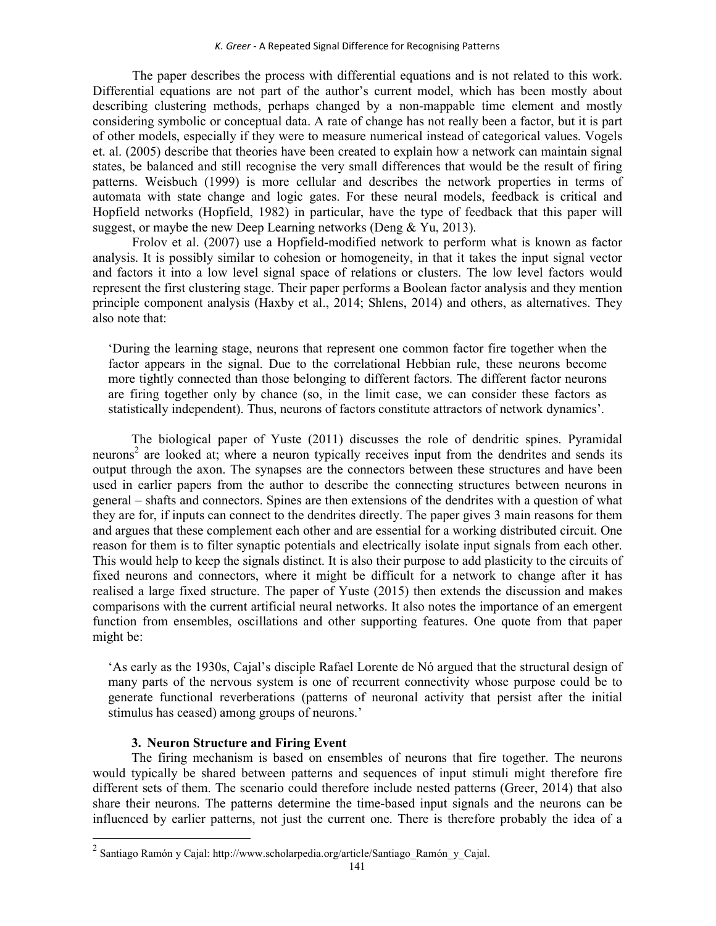The paper describes the process with differential equations and is not related to this work. Differential equations are not part of the author's current model, which has been mostly about describing clustering methods, perhaps changed by a non-mappable time element and mostly considering symbolic or conceptual data. A rate of change has not really been a factor, but it is part of other models, especially if they were to measure numerical instead of categorical values. Vogels et. al. (2005) describe that theories have been created to explain how a network can maintain signal states, be balanced and still recognise the very small differences that would be the result of firing patterns. Weisbuch (1999) is more cellular and describes the network properties in terms of automata with state change and logic gates. For these neural models, feedback is critical and Hopfield networks (Hopfield, 1982) in particular, have the type of feedback that this paper will suggest, or maybe the new Deep Learning networks (Deng & Yu, 2013).

Frolov et al. (2007) use a Hopfield-modified network to perform what is known as factor analysis. It is possibly similar to cohesion or homogeneity, in that it takes the input signal vector and factors it into a low level signal space of relations or clusters. The low level factors would represent the first clustering stage. Their paper performs a Boolean factor analysis and they mention principle component analysis (Haxby et al., 2014; Shlens, 2014) and others, as alternatives. They also note that:

'During the learning stage, neurons that represent one common factor fire together when the factor appears in the signal. Due to the correlational Hebbian rule, these neurons become more tightly connected than those belonging to different factors. The different factor neurons are firing together only by chance (so, in the limit case, we can consider these factors as statistically independent). Thus, neurons of factors constitute attractors of network dynamics'.

The biological paper of Yuste (2011) discusses the role of dendritic spines. Pyramidal neurons<sup>2</sup> are looked at; where a neuron typically receives input from the dendrites and sends its output through the axon. The synapses are the connectors between these structures and have been used in earlier papers from the author to describe the connecting structures between neurons in general – shafts and connectors. Spines are then extensions of the dendrites with a question of what they are for, if inputs can connect to the dendrites directly. The paper gives 3 main reasons for them and argues that these complement each other and are essential for a working distributed circuit. One reason for them is to filter synaptic potentials and electrically isolate input signals from each other. This would help to keep the signals distinct. It is also their purpose to add plasticity to the circuits of fixed neurons and connectors, where it might be difficult for a network to change after it has realised a large fixed structure. The paper of Yuste (2015) then extends the discussion and makes comparisons with the current artificial neural networks. It also notes the importance of an emergent function from ensembles, oscillations and other supporting features. One quote from that paper might be:

'As early as the 1930s, Cajal's disciple Rafael Lorente de Nó argued that the structural design of many parts of the nervous system is one of recurrent connectivity whose purpose could be to generate functional reverberations (patterns of neuronal activity that persist after the initial stimulus has ceased) among groups of neurons.'

# **3. Neuron Structure and Firing Event**

The firing mechanism is based on ensembles of neurons that fire together. The neurons would typically be shared between patterns and sequences of input stimuli might therefore fire different sets of them. The scenario could therefore include nested patterns (Greer, 2014) that also share their neurons. The patterns determine the time-based input signals and the neurons can be influenced by earlier patterns, not just the current one. There is therefore probably the idea of a

 2 Santiago Ramón y Cajal: http://www.scholarpedia.org/article/Santiago\_Ramón\_y\_Cajal.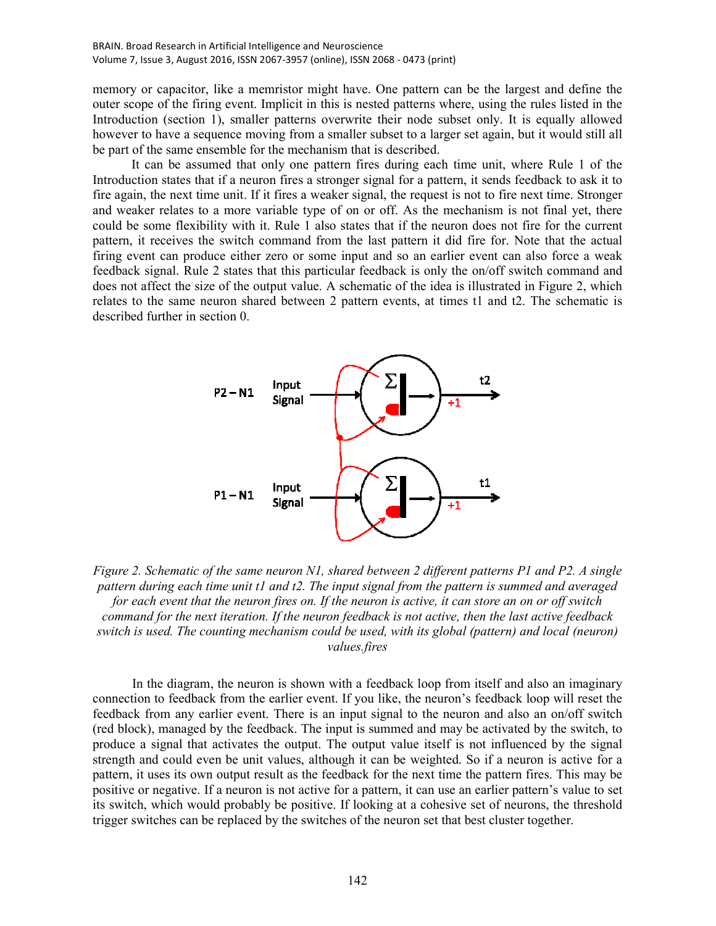memory or capacitor, like a memristor might have. One pattern can be the largest and define the outer scope of the firing event. Implicit in this is nested patterns where, using the rules listed in the Introduction (section 1), smaller patterns overwrite their node subset only. It is equally allowed however to have a sequence moving from a smaller subset to a larger set again, but it would still all be part of the same ensemble for the mechanism that is described.

It can be assumed that only one pattern fires during each time unit, where Rule 1 of the Introduction states that if a neuron fires a stronger signal for a pattern, it sends feedback to ask it to fire again, the next time unit. If it fires a weaker signal, the request is not to fire next time. Stronger and weaker relates to a more variable type of on or off. As the mechanism is not final yet, there could be some flexibility with it. Rule 1 also states that if the neuron does not fire for the current pattern, it receives the switch command from the last pattern it did fire for. Note that the actual firing event can produce either zero or some input and so an earlier event can also force a weak feedback signal. Rule 2 states that this particular feedback is only the on/off switch command and does not affect the size of the output value. A schematic of the idea is illustrated in Figure 2, which relates to the same neuron shared between 2 pattern events, at times t1 and t2. The schematic is described further in section 0.



*Figure 2. Schematic of the same neuron N1, shared between 2 different patterns P1 and P2. A single pattern during each time unit t1 and t2. The input signal from the pattern is summed and averaged for each event that the neuron fires on. If the neuron is active, it can store an on or off switch command for the next iteration. If the neuron feedback is not active, then the last active feedback switch is used. The counting mechanism could be used, with its global (pattern) and local (neuron) values.fires* 

In the diagram, the neuron is shown with a feedback loop from itself and also an imaginary connection to feedback from the earlier event. If you like, the neuron's feedback loop will reset the feedback from any earlier event. There is an input signal to the neuron and also an on/off switch (red block), managed by the feedback. The input is summed and may be activated by the switch, to produce a signal that activates the output. The output value itself is not influenced by the signal strength and could even be unit values, although it can be weighted. So if a neuron is active for a pattern, it uses its own output result as the feedback for the next time the pattern fires. This may be positive or negative. If a neuron is not active for a pattern, it can use an earlier pattern's value to set its switch, which would probably be positive. If looking at a cohesive set of neurons, the threshold trigger switches can be replaced by the switches of the neuron set that best cluster together.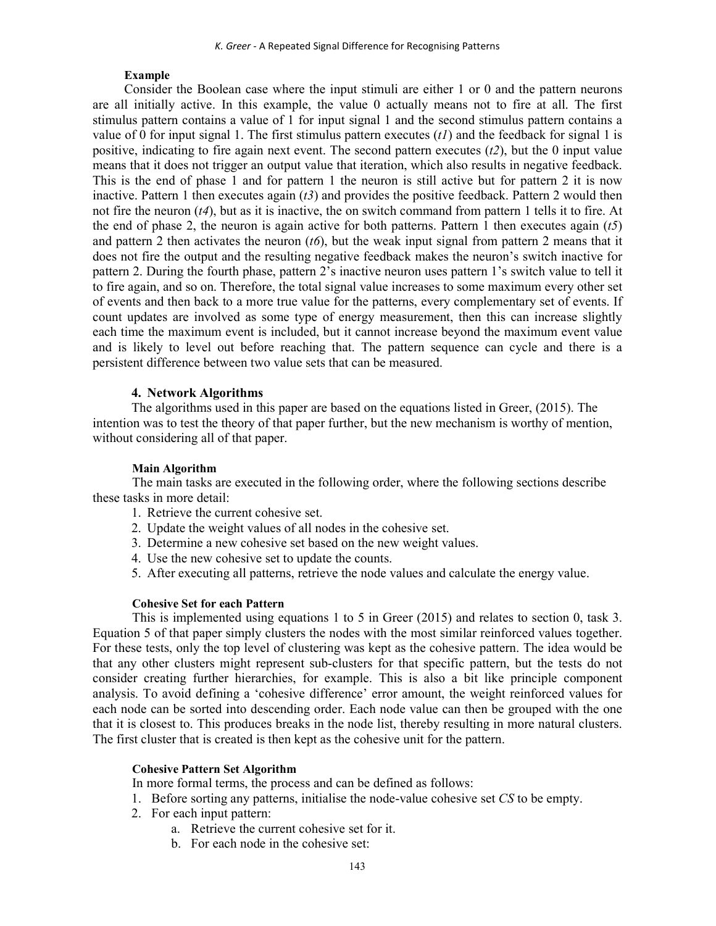### **Example**

Consider the Boolean case where the input stimuli are either 1 or 0 and the pattern neurons are all initially active. In this example, the value 0 actually means not to fire at all. The first stimulus pattern contains a value of 1 for input signal 1 and the second stimulus pattern contains a value of 0 for input signal 1. The first stimulus pattern executes  $(t)$  and the feedback for signal 1 is positive, indicating to fire again next event. The second pattern executes (*t2*), but the 0 input value means that it does not trigger an output value that iteration, which also results in negative feedback. This is the end of phase 1 and for pattern 1 the neuron is still active but for pattern 2 it is now inactive. Pattern 1 then executes again (*t3*) and provides the positive feedback. Pattern 2 would then not fire the neuron (*t4*), but as it is inactive, the on switch command from pattern 1 tells it to fire. At the end of phase 2, the neuron is again active for both patterns. Pattern 1 then executes again (*t5*) and pattern 2 then activates the neuron (*t6*), but the weak input signal from pattern 2 means that it does not fire the output and the resulting negative feedback makes the neuron's switch inactive for pattern 2. During the fourth phase, pattern 2's inactive neuron uses pattern 1's switch value to tell it to fire again, and so on. Therefore, the total signal value increases to some maximum every other set of events and then back to a more true value for the patterns, every complementary set of events. If count updates are involved as some type of energy measurement, then this can increase slightly each time the maximum event is included, but it cannot increase beyond the maximum event value and is likely to level out before reaching that. The pattern sequence can cycle and there is a persistent difference between two value sets that can be measured.

### **4. Network Algorithms**

The algorithms used in this paper are based on the equations listed in Greer, (2015). The intention was to test the theory of that paper further, but the new mechanism is worthy of mention, without considering all of that paper.

### **Main Algorithm**

The main tasks are executed in the following order, where the following sections describe these tasks in more detail:

- 1. Retrieve the current cohesive set.
- 2. Update the weight values of all nodes in the cohesive set.
- 3. Determine a new cohesive set based on the new weight values.
- 4. Use the new cohesive set to update the counts.
- 5. After executing all patterns, retrieve the node values and calculate the energy value.

#### **Cohesive Set for each Pattern**

This is implemented using equations 1 to 5 in Greer (2015) and relates to section 0, task 3. Equation 5 of that paper simply clusters the nodes with the most similar reinforced values together. For these tests, only the top level of clustering was kept as the cohesive pattern. The idea would be that any other clusters might represent sub-clusters for that specific pattern, but the tests do not consider creating further hierarchies, for example. This is also a bit like principle component analysis. To avoid defining a 'cohesive difference' error amount, the weight reinforced values for each node can be sorted into descending order. Each node value can then be grouped with the one that it is closest to. This produces breaks in the node list, thereby resulting in more natural clusters. The first cluster that is created is then kept as the cohesive unit for the pattern.

### **Cohesive Pattern Set Algorithm**

In more formal terms, the process and can be defined as follows:

- 1. Before sorting any patterns, initialise the node-value cohesive set *CS* to be empty.
- 2. For each input pattern:
	- a. Retrieve the current cohesive set for it.
	- b. For each node in the cohesive set: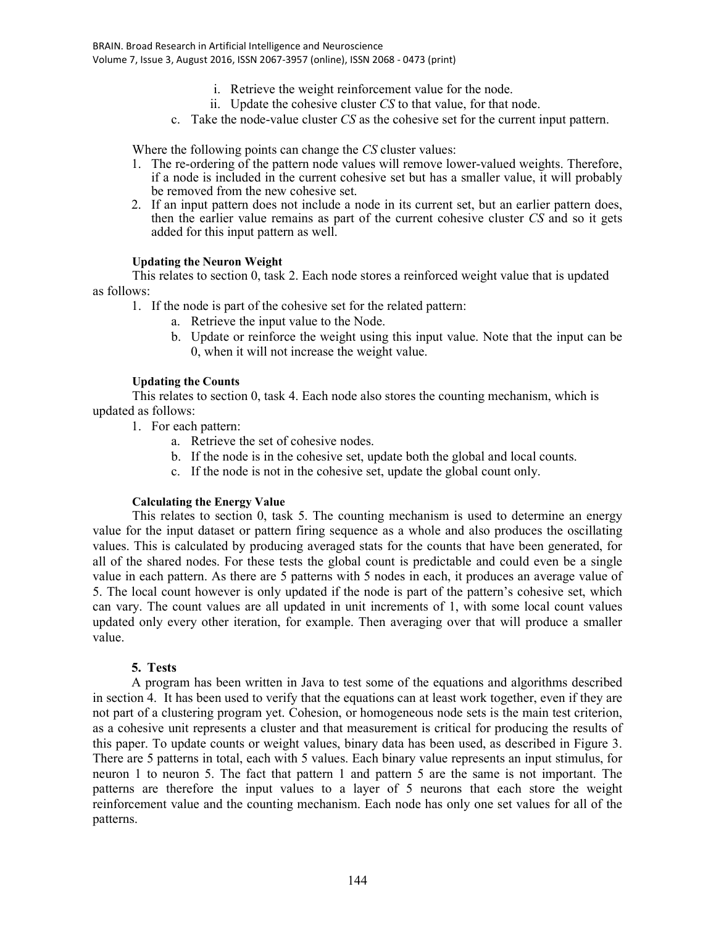- i. Retrieve the weight reinforcement value for the node.
- ii. Update the cohesive cluster *CS* to that value, for that node.
- c. Take the node-value cluster *CS* as the cohesive set for the current input pattern.

Where the following points can change the *CS* cluster values:

- 1. The re-ordering of the pattern node values will remove lower-valued weights. Therefore, if a node is included in the current cohesive set but has a smaller value, it will probably be removed from the new cohesive set.
- 2. If an input pattern does not include a node in its current set, but an earlier pattern does, then the earlier value remains as part of the current cohesive cluster *CS* and so it gets added for this input pattern as well.

# **Updating the Neuron Weight**

This relates to section 0, task 2. Each node stores a reinforced weight value that is updated as follows:

1. If the node is part of the cohesive set for the related pattern:

- a. Retrieve the input value to the Node.
- b. Update or reinforce the weight using this input value. Note that the input can be 0, when it will not increase the weight value.

# **Updating the Counts**

This relates to section 0, task 4. Each node also stores the counting mechanism, which is updated as follows:

- 1. For each pattern:
	- a. Retrieve the set of cohesive nodes.
	- b. If the node is in the cohesive set, update both the global and local counts.
	- c. If the node is not in the cohesive set, update the global count only.

# **Calculating the Energy Value**

This relates to section 0, task 5. The counting mechanism is used to determine an energy value for the input dataset or pattern firing sequence as a whole and also produces the oscillating values. This is calculated by producing averaged stats for the counts that have been generated, for all of the shared nodes. For these tests the global count is predictable and could even be a single value in each pattern. As there are 5 patterns with 5 nodes in each, it produces an average value of 5. The local count however is only updated if the node is part of the pattern's cohesive set, which can vary. The count values are all updated in unit increments of 1, with some local count values updated only every other iteration, for example. Then averaging over that will produce a smaller value.

# **5. Tests**

A program has been written in Java to test some of the equations and algorithms described in section 4. It has been used to verify that the equations can at least work together, even if they are not part of a clustering program yet. Cohesion, or homogeneous node sets is the main test criterion, as a cohesive unit represents a cluster and that measurement is critical for producing the results of this paper. To update counts or weight values, binary data has been used, as described in Figure 3. There are 5 patterns in total, each with 5 values. Each binary value represents an input stimulus, for neuron 1 to neuron 5. The fact that pattern 1 and pattern 5 are the same is not important. The patterns are therefore the input values to a layer of 5 neurons that each store the weight reinforcement value and the counting mechanism. Each node has only one set values for all of the patterns.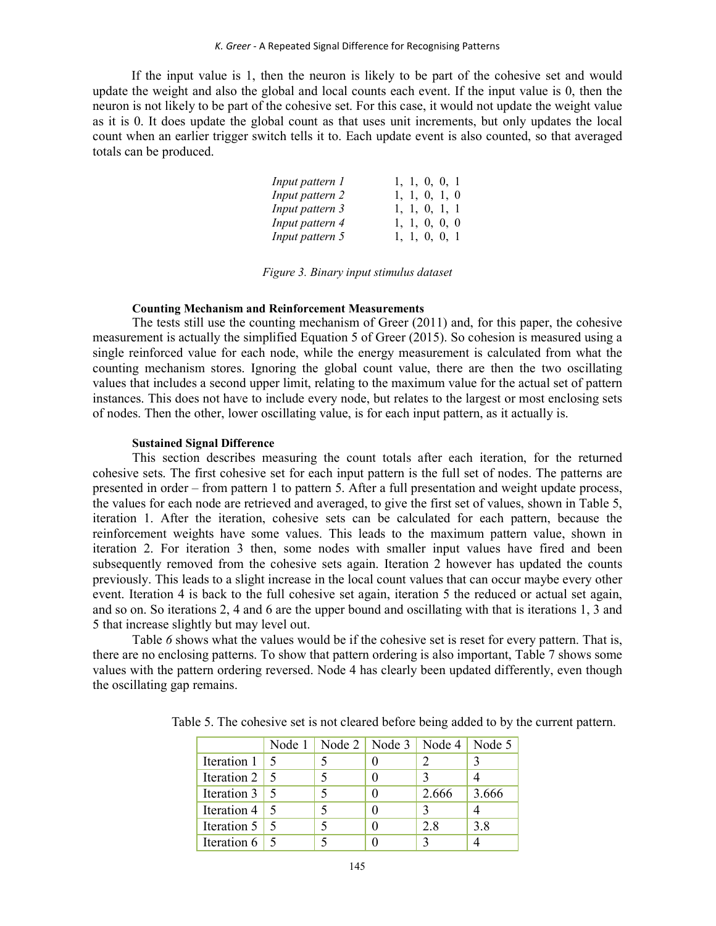If the input value is 1, then the neuron is likely to be part of the cohesive set and would update the weight and also the global and local counts each event. If the input value is 0, then the neuron is not likely to be part of the cohesive set. For this case, it would not update the weight value as it is 0. It does update the global count as that uses unit increments, but only updates the local count when an earlier trigger switch tells it to. Each update event is also counted, so that averaged totals can be produced.

| Input pattern 1 |  | 1, 1, 0, 0, 1 |  |
|-----------------|--|---------------|--|
| Input pattern 2 |  | 1, 1, 0, 1, 0 |  |
| Input pattern 3 |  | 1, 1, 0, 1, 1 |  |
| Input pattern 4 |  | 1, 1, 0, 0, 0 |  |
| Input pattern 5 |  | 1, 1, 0, 0, 1 |  |

*Figure 3. Binary input stimulus dataset* 

### **Counting Mechanism and Reinforcement Measurements**

The tests still use the counting mechanism of Greer (2011) and, for this paper, the cohesive measurement is actually the simplified Equation 5 of Greer (2015). So cohesion is measured using a single reinforced value for each node, while the energy measurement is calculated from what the counting mechanism stores. Ignoring the global count value, there are then the two oscillating values that includes a second upper limit, relating to the maximum value for the actual set of pattern instances. This does not have to include every node, but relates to the largest or most enclosing sets of nodes. Then the other, lower oscillating value, is for each input pattern, as it actually is.

### **Sustained Signal Difference**

This section describes measuring the count totals after each iteration, for the returned cohesive sets. The first cohesive set for each input pattern is the full set of nodes. The patterns are presented in order – from pattern 1 to pattern 5. After a full presentation and weight update process, the values for each node are retrieved and averaged, to give the first set of values, shown in Table 5, iteration 1. After the iteration, cohesive sets can be calculated for each pattern, because the reinforcement weights have some values. This leads to the maximum pattern value, shown in iteration 2. For iteration 3 then, some nodes with smaller input values have fired and been subsequently removed from the cohesive sets again. Iteration 2 however has updated the counts previously. This leads to a slight increase in the local count values that can occur maybe every other event. Iteration 4 is back to the full cohesive set again, iteration 5 the reduced or actual set again, and so on. So iterations 2, 4 and 6 are the upper bound and oscillating with that is iterations 1, 3 and 5 that increase slightly but may level out.

Table 6 shows what the values would be if the cohesive set is reset for every pattern. That is, there are no enclosing patterns. To show that pattern ordering is also important, Table 7 shows some values with the pattern ordering reversed. Node 4 has clearly been updated differently, even though the oscillating gap remains.

|                      | Node 1   Node 2   Node 3   Node 4   Node 5 |       |       |
|----------------------|--------------------------------------------|-------|-------|
| Iteration 1          |                                            |       |       |
| Iteration $2 \mid$   |                                            |       |       |
| Iteration $3 \mid 5$ |                                            | 2.666 | 3.666 |
| Iteration $4 \mid$   |                                            |       |       |
| Iteration 5          |                                            | 2.8   | 3.8   |
| Iteration 6          |                                            |       |       |

Table 5. The cohesive set is not cleared before being added to by the current pattern.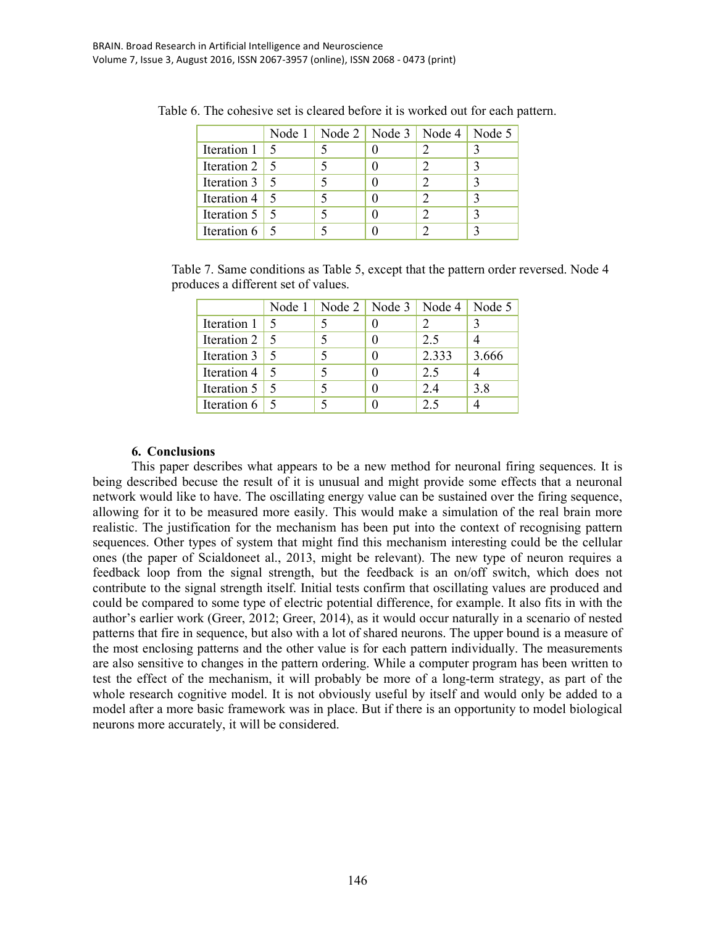|                      |    | Node 1   Node 2   Node 3   Node 4   Node 5 |  |
|----------------------|----|--------------------------------------------|--|
| Iteration $1 \mid$   | -5 |                                            |  |
| Iteration $2 \mid 5$ |    |                                            |  |
| Iteration $3 \mid 5$ |    |                                            |  |
| Iteration 4   5      |    |                                            |  |
| Iteration $5 \mid$   |    |                                            |  |
| Iteration $6 \mid$   |    |                                            |  |

Table 6. The cohesive set is cleared before it is worked out for each pattern.

Table 7. Same conditions as Table 5, except that the pattern order reversed. Node 4 produces a different set of values.

|                      | Node 1 |  | Node 2   Node 3   Node 4   Node 5 |       |
|----------------------|--------|--|-----------------------------------|-------|
| Iteration $1 \mid 5$ |        |  |                                   |       |
| Iteration $2 \mid$   | -5     |  | 2.5                               |       |
| Iteration $3 \mid 5$ |        |  | 2.333                             | 3.666 |
| Iteration $4 \mid 5$ |        |  | 2.5                               |       |
| Iteration $5 \mid$   |        |  | 24                                | 3.8   |
| Iteration $6 \mid$   |        |  | 25                                |       |

# **6. Conclusions**

This paper describes what appears to be a new method for neuronal firing sequences. It is being described becuse the result of it is unusual and might provide some effects that a neuronal network would like to have. The oscillating energy value can be sustained over the firing sequence, allowing for it to be measured more easily. This would make a simulation of the real brain more realistic. The justification for the mechanism has been put into the context of recognising pattern sequences. Other types of system that might find this mechanism interesting could be the cellular ones (the paper of Scialdoneet al., 2013, might be relevant). The new type of neuron requires a feedback loop from the signal strength, but the feedback is an on/off switch, which does not contribute to the signal strength itself. Initial tests confirm that oscillating values are produced and could be compared to some type of electric potential difference, for example. It also fits in with the author's earlier work (Greer, 2012; Greer, 2014), as it would occur naturally in a scenario of nested patterns that fire in sequence, but also with a lot of shared neurons. The upper bound is a measure of the most enclosing patterns and the other value is for each pattern individually. The measurements are also sensitive to changes in the pattern ordering. While a computer program has been written to test the effect of the mechanism, it will probably be more of a long-term strategy, as part of the whole research cognitive model. It is not obviously useful by itself and would only be added to a model after a more basic framework was in place. But if there is an opportunity to model biological neurons more accurately, it will be considered.